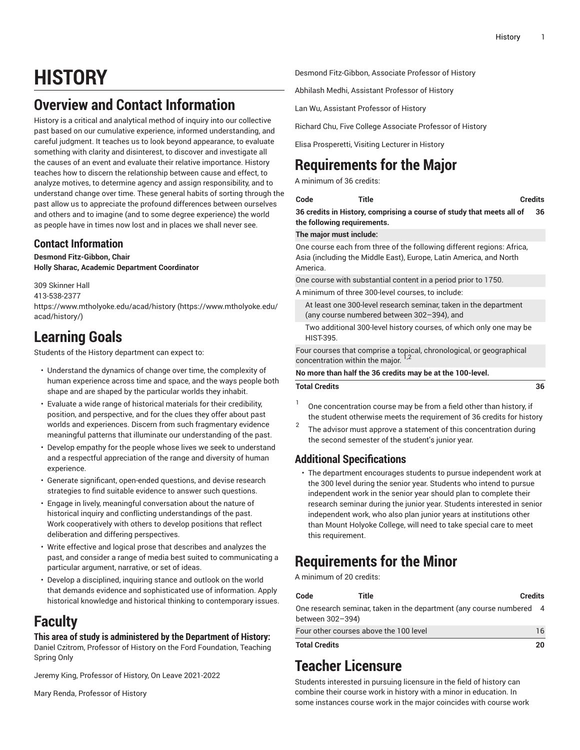# **HISTORY**

## **Overview and Contact Information**

History is a critical and analytical method of inquiry into our collective past based on our cumulative experience, informed understanding, and careful judgment. It teaches us to look beyond appearance, to evaluate something with clarity and disinterest, to discover and investigate all the causes of an event and evaluate their relative importance. History teaches how to discern the relationship between cause and effect, to analyze motives, to determine agency and assign responsibility, and to understand change over time. These general habits of sorting through the past allow us to appreciate the profound differences between ourselves and others and to imagine (and to some degree experience) the world as people have in times now lost and in places we shall never see.

## **Contact Information**

**Desmond Fitz-Gibbon, Chair Holly Sharac, Academic Department Coordinator**

309 Skinner Hall 413-538-2377 [https://www.mtholyoke.edu/acad/history](https://www.mtholyoke.edu/acad/history/) ([https://www.mtholyoke.edu/](https://www.mtholyoke.edu/acad/history/) [acad/history/](https://www.mtholyoke.edu/acad/history/))

## **Learning Goals**

Students of the History department can expect to:

- Understand the dynamics of change over time, the complexity of human experience across time and space, and the ways people both shape and are shaped by the particular worlds they inhabit.
- Evaluate a wide range of historical materials for their credibility, position, and perspective, and for the clues they offer about past worlds and experiences. Discern from such fragmentary evidence meaningful patterns that illuminate our understanding of the past.
- Develop empathy for the people whose lives we seek to understand and a respectful appreciation of the range and diversity of human experience.
- Generate significant, open-ended questions, and devise research strategies to find suitable evidence to answer such questions.
- Engage in lively, meaningful conversation about the nature of historical inquiry and conflicting understandings of the past. Work cooperatively with others to develop positions that reflect deliberation and differing perspectives.
- Write effective and logical prose that describes and analyzes the past, and consider a range of media best suited to communicating a particular argument, narrative, or set of ideas.
- Develop a disciplined, inquiring stance and outlook on the world that demands evidence and sophisticated use of information. Apply historical knowledge and historical thinking to contemporary issues.

## **Faculty**

### **This area of study is administered by the Department of History:**

Daniel Czitrom, Professor of History on the Ford Foundation, Teaching Spring Only

Jeremy King, Professor of History, On Leave 2021-2022

Mary Renda, Professor of History

Desmond Fitz-Gibbon, Associate Professor of History

Abhilash Medhi, Assistant Professor of History

Lan Wu, Assistant Professor of History

Richard Chu, Five College Associate Professor of History

Elisa Prosperetti, Visiting Lecturer in History

## **Requirements for the Major**

A minimum of 36 credits:

**Code Title Credits**

**36 credits in History, comprising a course of study that meets all of the following requirements. 36**

**The major must include:**

One course each from three of the following different regions: Africa, Asia (including the Middle East), Europe, Latin America, and North America.

One course with substantial content in a period prior to 1750.

A minimum of three 300-level courses, to include:

At least one 300-level research seminar, taken in the department (any course numbered between 302–394), and

Two additional 300-level history courses, of which only one may be HIST-395.

Four courses that comprise a topical, chronological, or geographical concentration within the major. <sup>1,2</sup>

### **No more than half the 36 credits may be at the 100-level.**

### **Total Credits 36**

- 1 One concentration course may be from a field other than history, if the student otherwise meets the requirement of 36 credits for history
- 2 The advisor must approve a statement of this concentration during the second semester of the student's junior year.

## **Additional Specifications**

• The department encourages students to pursue independent work at the 300 level during the senior year. Students who intend to pursue independent work in the senior year should plan to complete their research seminar during the junior year. Students interested in senior independent work, who also plan junior years at institutions other than Mount Holyoke College, will need to take special care to meet this requirement.

## **Requirements for the Minor**

A minimum of 20 credits:

| Code                                                                                   | Title | <b>Credits</b> |    |
|----------------------------------------------------------------------------------------|-------|----------------|----|
| One research seminar, taken in the department (any course numbered<br>between 302-394) |       |                | -4 |
| Four other courses above the 100 level                                                 |       |                | 16 |
| <b>Total Credits</b>                                                                   |       | 20             |    |

## **Teacher Licensure**

Students interested in pursuing licensure in the field of history can combine their course work in history with a minor in education. In some instances course work in the major coincides with course work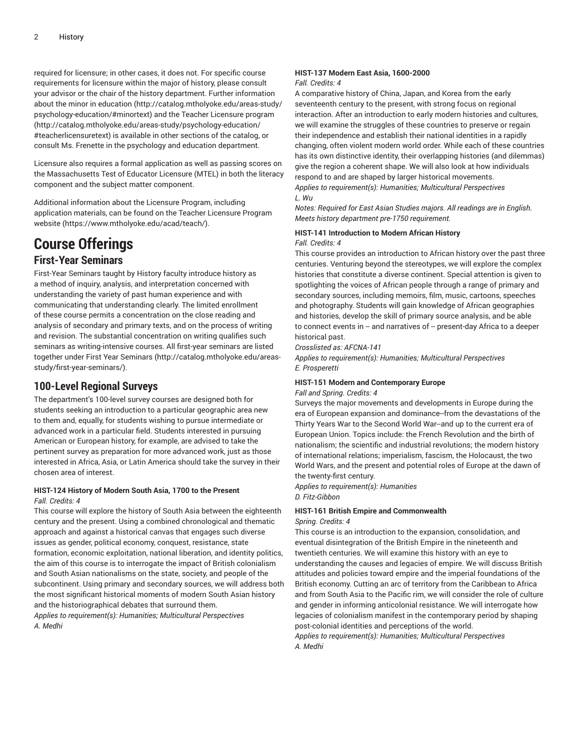required for licensure; in other cases, it does not. For specific course requirements for licensure within the major of history, please consult your advisor or the chair of the history department. Further information about the [minor in education](http://catalog.mtholyoke.edu/areas-study/psychology-education/#minortext) [\(http://catalog.mtholyoke.edu/areas-study/](http://catalog.mtholyoke.edu/areas-study/psychology-education/#minortext) [psychology-education/#minortext](http://catalog.mtholyoke.edu/areas-study/psychology-education/#minortext)) and the Teacher [Licensure](http://catalog.mtholyoke.edu/areas-study/psychology-education/#teacherlicensuretext) program ([http://catalog.mtholyoke.edu/areas-study/psychology-education/](http://catalog.mtholyoke.edu/areas-study/psychology-education/#teacherlicensuretext) [#teacherlicensuretext](http://catalog.mtholyoke.edu/areas-study/psychology-education/#teacherlicensuretext)) is available in other sections of the catalog, or consult Ms. Frenette in the psychology and education department.

Licensure also requires a formal application as well as passing scores on the Massachusetts Test of Educator Licensure (MTEL) in both the literacy component and the subject matter component.

Additional information about the Licensure Program, including application materials, can be found on the Teacher [Licensure](https://www.mtholyoke.edu/acad/teach/) Program [website](https://www.mtholyoke.edu/acad/teach/) ([https://www.mtholyoke.edu/acad/teach/\)](https://www.mtholyoke.edu/acad/teach/).

# **Course Offerings**

### **First-Year Seminars**

First-Year Seminars taught by History faculty introduce history as a method of inquiry, analysis, and interpretation concerned with understanding the variety of past human experience and with communicating that understanding clearly. The limited enrollment of these course permits a concentration on the close reading and analysis of secondary and primary texts, and on the process of writing and revision. The substantial concentration on writing qualifies such seminars as writing-intensive courses. All first-year seminars are listed together under First Year [Seminars](http://catalog.mtholyoke.edu/areas-study/first-year-seminars/) ([http://catalog.mtholyoke.edu/areas](http://catalog.mtholyoke.edu/areas-study/first-year-seminars/)[study/first-year-seminars/\)](http://catalog.mtholyoke.edu/areas-study/first-year-seminars/).

### **100-Level Regional Surveys**

The department's 100-level survey courses are designed both for students seeking an introduction to a particular geographic area new to them and, equally, for students wishing to pursue intermediate or advanced work in a particular field. Students interested in pursuing American or European history, for example, are advised to take the pertinent survey as preparation for more advanced work, just as those interested in Africa, Asia, or Latin America should take the survey in their chosen area of interest.

### **HIST-124 History of Modern South Asia, 1700 to the Present** *Fall. Credits: 4*

This course will explore the history of South Asia between the eighteenth century and the present. Using a combined chronological and thematic approach and against a historical canvas that engages such diverse issues as gender, political economy, conquest, resistance, state formation, economic exploitation, national liberation, and identity politics, the aim of this course is to interrogate the impact of British colonialism and South Asian nationalisms on the state, society, and people of the subcontinent. Using primary and secondary sources, we will address both the most significant historical moments of modern South Asian history and the historiographical debates that surround them. *Applies to requirement(s): Humanities; Multicultural Perspectives A. Medhi*

## **HIST-137 Modern East Asia, 1600-2000**

### *Fall. Credits: 4*

A comparative history of China, Japan, and Korea from the early seventeenth century to the present, with strong focus on regional interaction. After an introduction to early modern histories and cultures, we will examine the struggles of these countries to preserve or regain their independence and establish their national identities in a rapidly changing, often violent modern world order. While each of these countries has its own distinctive identity, their overlapping histories (and dilemmas) give the region a coherent shape. We will also look at how individuals respond to and are shaped by larger historical movements. *Applies to requirement(s): Humanities; Multicultural Perspectives*

*L. Wu*

*Notes: Required for East Asian Studies majors. All readings are in English. Meets history department pre-1750 requirement.*

### **HIST-141 Introduction to Modern African History** *Fall. Credits: 4*

This course provides an introduction to African history over the past three centuries. Venturing beyond the stereotypes, we will explore the complex histories that constitute a diverse continent. Special attention is given to spotlighting the voices of African people through a range of primary and secondary sources, including memoirs, film, music, cartoons, speeches and photography. Students will gain knowledge of African geographies and histories, develop the skill of primary source analysis, and be able to connect events in -- and narratives of -- present-day Africa to a deeper historical past.

*Crosslisted as: AFCNA-141*

*Applies to requirement(s): Humanities; Multicultural Perspectives E. Prosperetti*

### **HIST-151 Modern and Contemporary Europe**

*Fall and Spring. Credits: 4*

Surveys the major movements and developments in Europe during the era of European expansion and dominance--from the devastations of the Thirty Years War to the Second World War--and up to the current era of European Union. Topics include: the French Revolution and the birth of nationalism; the scientific and industrial revolutions; the modern history of international relations; imperialism, fascism, the Holocaust, the two World Wars, and the present and potential roles of Europe at the dawn of the twenty-first century.

*Applies to requirement(s): Humanities D. Fitz-Gibbon*

### **HIST-161 British Empire and Commonwealth**

### *Spring. Credits: 4*

This course is an introduction to the expansion, consolidation, and eventual disintegration of the British Empire in the nineteenth and twentieth centuries. We will examine this history with an eye to understanding the causes and legacies of empire. We will discuss British attitudes and policies toward empire and the imperial foundations of the British economy. Cutting an arc of territory from the Caribbean to Africa and from South Asia to the Pacific rim, we will consider the role of culture and gender in informing anticolonial resistance. We will interrogate how legacies of colonialism manifest in the contemporary period by shaping post-colonial identities and perceptions of the world.

*Applies to requirement(s): Humanities; Multicultural Perspectives A. Medhi*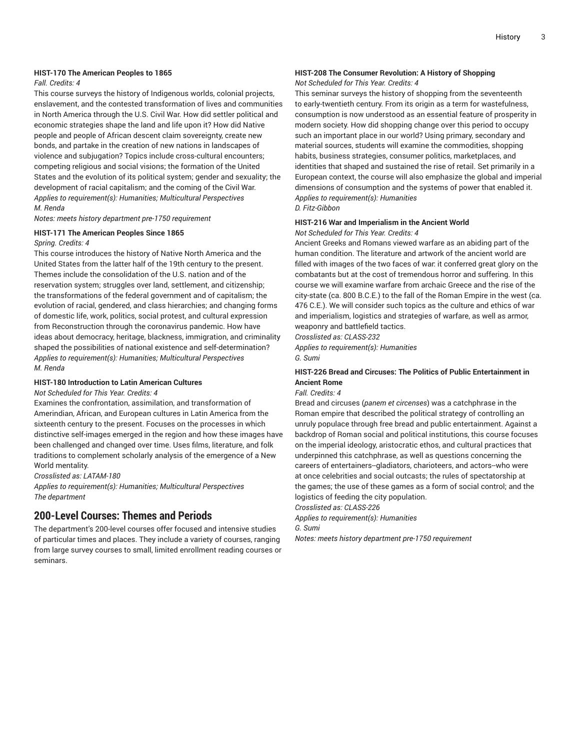### **HIST-170 The American Peoples to 1865**

### *Fall. Credits: 4*

This course surveys the history of Indigenous worlds, colonial projects, enslavement, and the contested transformation of lives and communities in North America through the U.S. Civil War. How did settler political and economic strategies shape the land and life upon it? How did Native people and people of African descent claim sovereignty, create new bonds, and partake in the creation of new nations in landscapes of violence and subjugation? Topics include cross-cultural encounters; competing religious and social visions; the formation of the United States and the evolution of its political system; gender and sexuality; the development of racial capitalism; and the coming of the Civil War. *Applies to requirement(s): Humanities; Multicultural Perspectives M. Renda*

#### *Notes: meets history department pre-1750 requirement*

### **HIST-171 The American Peoples Since 1865** *Spring. Credits: 4*

This course introduces the history of Native North America and the United States from the latter half of the 19th century to the present. Themes include the consolidation of the U.S. nation and of the reservation system; struggles over land, settlement, and citizenship; the transformations of the federal government and of capitalism; the evolution of racial, gendered, and class hierarchies; and changing forms of domestic life, work, politics, social protest, and cultural expression from Reconstruction through the coronavirus pandemic. How have ideas about democracy, heritage, blackness, immigration, and criminality shaped the possibilities of national existence and self-determination? *Applies to requirement(s): Humanities; Multicultural Perspectives M. Renda*

### **HIST-180 Introduction to Latin American Cultures**

*Not Scheduled for This Year. Credits: 4*

Examines the confrontation, assimilation, and transformation of Amerindian, African, and European cultures in Latin America from the sixteenth century to the present. Focuses on the processes in which distinctive self-images emerged in the region and how these images have been challenged and changed over time. Uses films, literature, and folk traditions to complement scholarly analysis of the emergence of a New World mentality.

*Crosslisted as: LATAM-180*

*Applies to requirement(s): Humanities; Multicultural Perspectives The department*

### **200-Level Courses: Themes and Periods**

The department's 200-level courses offer focused and intensive studies of particular times and places. They include a variety of courses, ranging from large survey courses to small, limited enrollment reading courses or seminars.

### **HIST-208 The Consumer Revolution: A History of Shopping**

### *Not Scheduled for This Year. Credits: 4*

This seminar surveys the history of shopping from the seventeenth to early-twentieth century. From its origin as a term for wastefulness, consumption is now understood as an essential feature of prosperity in modern society. How did shopping change over this period to occupy such an important place in our world? Using primary, secondary and material sources, students will examine the commodities, shopping habits, business strategies, consumer politics, marketplaces, and identities that shaped and sustained the rise of retail. Set primarily in a European context, the course will also emphasize the global and imperial dimensions of consumption and the systems of power that enabled it. *Applies to requirement(s): Humanities D. Fitz-Gibbon*

### **HIST-216 War and Imperialism in the Ancient World**

*Not Scheduled for This Year. Credits: 4*

Ancient Greeks and Romans viewed warfare as an abiding part of the human condition. The literature and artwork of the ancient world are filled with images of the two faces of war: it conferred great glory on the combatants but at the cost of tremendous horror and suffering. In this course we will examine warfare from archaic Greece and the rise of the city-state (ca. 800 B.C.E.) to the fall of the Roman Empire in the west (ca. 476 C.E.). We will consider such topics as the culture and ethics of war and imperialism, logistics and strategies of warfare, as well as armor, weaponry and battlefield tactics.

*Crosslisted as: CLASS-232*

*Applies to requirement(s): Humanities G. Sumi*

### **HIST-226 Bread and Circuses: The Politics of Public Entertainment in Ancient Rome**

*Fall. Credits: 4*

Bread and circuses (*panem et circenses*) was a catchphrase in the Roman empire that described the political strategy of controlling an unruly populace through free bread and public entertainment. Against a backdrop of Roman social and political institutions, this course focuses on the imperial ideology, aristocratic ethos, and cultural practices that underpinned this catchphrase, as well as questions concerning the careers of entertainers--gladiators, charioteers, and actors--who were at once celebrities and social outcasts; the rules of spectatorship at the games; the use of these games as a form of social control; and the logistics of feeding the city population.

*Crosslisted as: CLASS-226*

*Applies to requirement(s): Humanities*

*G. Sumi*

*Notes: meets history department pre-1750 requirement*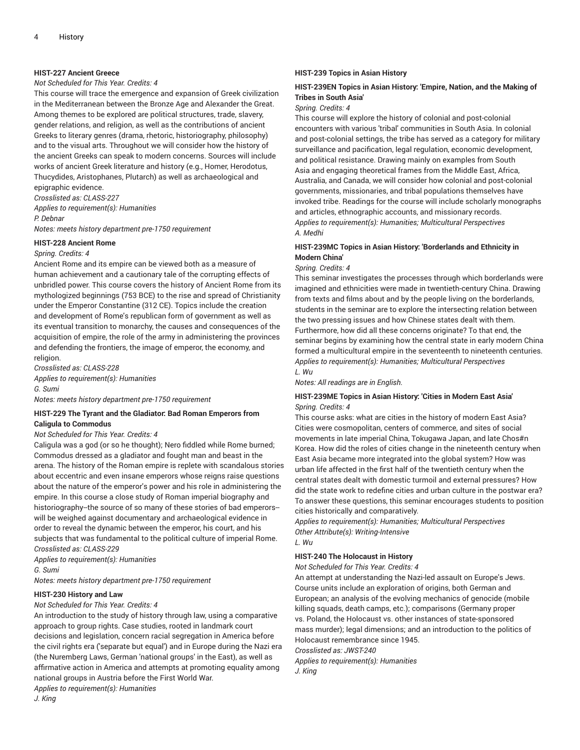### **HIST-227 Ancient Greece**

### *Not Scheduled for This Year. Credits: 4*

This course will trace the emergence and expansion of Greek civilization in the Mediterranean between the Bronze Age and Alexander the Great. Among themes to be explored are political structures, trade, slavery, gender relations, and religion, as well as the contributions of ancient Greeks to literary genres (drama, rhetoric, historiography, philosophy) and to the visual arts. Throughout we will consider how the history of the ancient Greeks can speak to modern concerns. Sources will include works of ancient Greek literature and history (e.g., Homer, Herodotus, Thucydides, Aristophanes, Plutarch) as well as archaeological and

epigraphic evidence. *Crosslisted as: CLASS-227*

*Applies to requirement(s): Humanities P. Debnar Notes: meets history department pre-1750 requirement*

#### **HIST-228 Ancient Rome**

*Spring. Credits: 4*

Ancient Rome and its empire can be viewed both as a measure of human achievement and a cautionary tale of the corrupting effects of unbridled power. This course covers the history of Ancient Rome from its mythologized beginnings (753 BCE) to the rise and spread of Christianity under the Emperor Constantine (312 CE). Topics include the creation and development of Rome's republican form of government as well as its eventual transition to monarchy, the causes and consequences of the acquisition of empire, the role of the army in administering the provinces and defending the frontiers, the image of emperor, the economy, and religion.

*Crosslisted as: CLASS-228 Applies to requirement(s): Humanities G. Sumi Notes: meets history department pre-1750 requirement*

### **HIST-229 The Tyrant and the Gladiator: Bad Roman Emperors from Caligula to Commodus**

#### *Not Scheduled for This Year. Credits: 4*

Caligula was a god (or so he thought); Nero fiddled while Rome burned; Commodus dressed as a gladiator and fought man and beast in the arena. The history of the Roman empire is replete with scandalous stories about eccentric and even insane emperors whose reigns raise questions about the nature of the emperor's power and his role in administering the empire. In this course a close study of Roman imperial biography and historiography--the source of so many of these stories of bad emperors-will be weighed against documentary and archaeological evidence in order to reveal the dynamic between the emperor, his court, and his subjects that was fundamental to the political culture of imperial Rome. *Crosslisted as: CLASS-229*

*Applies to requirement(s): Humanities G. Sumi*

*Notes: meets history department pre-1750 requirement*

### **HIST-230 History and Law**

#### *Not Scheduled for This Year. Credits: 4*

An introduction to the study of history through law, using a comparative approach to group rights. Case studies, rooted in landmark court decisions and legislation, concern racial segregation in America before the civil rights era ('separate but equal') and in Europe during the Nazi era (the Nuremberg Laws, German 'national groups' in the East), as well as affirmative action in America and attempts at promoting equality among national groups in Austria before the First World War.

### *Applies to requirement(s): Humanities*

*J. King*

### **HIST-239 Topics in Asian History**

### **HIST-239EN Topics in Asian History: 'Empire, Nation, and the Making of Tribes in South Asia'**

### *Spring. Credits: 4*

This course will explore the history of colonial and post-colonial encounters with various 'tribal' communities in South Asia. In colonial and post-colonial settings, the tribe has served as a category for military surveillance and pacification, legal regulation, economic development, and political resistance. Drawing mainly on examples from South Asia and engaging theoretical frames from the Middle East, Africa, Australia, and Canada, we will consider how colonial and post-colonial governments, missionaries, and tribal populations themselves have invoked tribe. Readings for the course will include scholarly monographs and articles, ethnographic accounts, and missionary records. *Applies to requirement(s): Humanities; Multicultural Perspectives A. Medhi*

### **HIST-239MC Topics in Asian History: 'Borderlands and Ethnicity in Modern China'**

#### *Spring. Credits: 4*

This seminar investigates the processes through which borderlands were imagined and ethnicities were made in twentieth-century China. Drawing from texts and films about and by the people living on the borderlands, students in the seminar are to explore the intersecting relation between the two pressing issues and how Chinese states dealt with them. Furthermore, how did all these concerns originate? To that end, the seminar begins by examining how the central state in early modern China formed a multicultural empire in the seventeenth to nineteenth centuries. *Applies to requirement(s): Humanities; Multicultural Perspectives L. Wu*

*Notes: All readings are in English.*

### **HIST-239ME Topics in Asian History: 'Cities in Modern East Asia'** *Spring. Credits: 4*

This course asks: what are cities in the history of modern East Asia? Cities were cosmopolitan, centers of commerce, and sites of social movements in late imperial China, Tokugawa Japan, and late Chos#n Korea. How did the roles of cities change in the nineteenth century when East Asia became more integrated into the global system? How was urban life affected in the first half of the twentieth century when the central states dealt with domestic turmoil and external pressures? How did the state work to redefine cities and urban culture in the postwar era? To answer these questions, this seminar encourages students to position cities historically and comparatively.

*Applies to requirement(s): Humanities; Multicultural Perspectives Other Attribute(s): Writing-Intensive L. Wu*

### **HIST-240 The Holocaust in History**

*Not Scheduled for This Year. Credits: 4*

An attempt at understanding the Nazi-led assault on Europe's Jews. Course units include an exploration of origins, both German and European; an analysis of the evolving mechanics of genocide (mobile killing squads, death camps, etc.); comparisons (Germany proper vs. Poland, the Holocaust vs. other instances of state-sponsored mass murder); legal dimensions; and an introduction to the politics of Holocaust remembrance since 1945.

*Crosslisted as: JWST-240*

*Applies to requirement(s): Humanities J. King*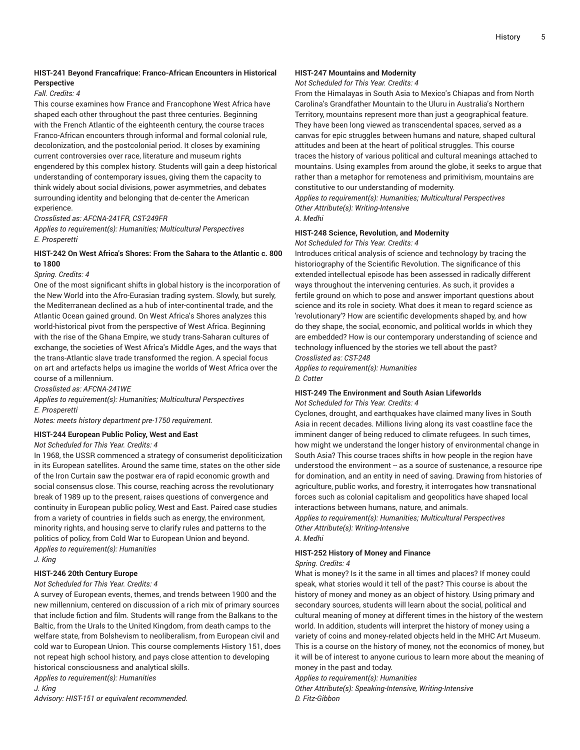### **HIST-241 Beyond Francafrique: Franco-African Encounters in Historical Perspective**

### *Fall. Credits: 4*

This course examines how France and Francophone West Africa have shaped each other throughout the past three centuries. Beginning with the French Atlantic of the eighteenth century, the course traces Franco-African encounters through informal and formal colonial rule, decolonization, and the postcolonial period. It closes by examining current controversies over race, literature and museum rights engendered by this complex history. Students will gain a deep historical understanding of contemporary issues, giving them the capacity to think widely about social divisions, power asymmetries, and debates surrounding identity and belonging that de-center the American experience.

### *Crosslisted as: AFCNA-241FR, CST-249FR*

*Applies to requirement(s): Humanities; Multicultural Perspectives E. Prosperetti*

### **HIST-242 On West Africa's Shores: From the Sahara to the Atlantic c. 800 to 1800**

### *Spring. Credits: 4*

One of the most significant shifts in global history is the incorporation of the New World into the Afro-Eurasian trading system. Slowly, but surely, the Mediterranean declined as a hub of inter-continental trade, and the Atlantic Ocean gained ground. On West Africa's Shores analyzes this world-historical pivot from the perspective of West Africa. Beginning with the rise of the Ghana Empire, we study trans-Saharan cultures of exchange, the societies of West Africa's Middle Ages, and the ways that the trans-Atlantic slave trade transformed the region. A special focus on art and artefacts helps us imagine the worlds of West Africa over the course of a millennium.

*Crosslisted as: AFCNA-241WE*

*Applies to requirement(s): Humanities; Multicultural Perspectives E. Prosperetti*

*Notes: meets history department pre-1750 requirement.*

### **HIST-244 European Public Policy, West and East**

### *Not Scheduled for This Year. Credits: 4*

In 1968, the USSR commenced a strategy of consumerist depoliticization in its European satellites. Around the same time, states on the other side of the Iron Curtain saw the postwar era of rapid economic growth and social consensus close. This course, reaching across the revolutionary break of 1989 up to the present, raises questions of convergence and continuity in European public policy, West and East. Paired case studies from a variety of countries in fields such as energy, the environment, minority rights, and housing serve to clarify rules and patterns to the politics of policy, from Cold War to European Union and beyond. *Applies to requirement(s): Humanities*

*J. King*

### **HIST-246 20th Century Europe**

### *Not Scheduled for This Year. Credits: 4*

A survey of European events, themes, and trends between 1900 and the new millennium, centered on discussion of a rich mix of primary sources that include fiction and film. Students will range from the Balkans to the Baltic, from the Urals to the United Kingdom, from death camps to the welfare state, from Bolshevism to neoliberalism, from European civil and cold war to European Union. This course complements History 151, does not repeat high school history, and pays close attention to developing historical consciousness and analytical skills.

*Applies to requirement(s): Humanities*

*J. King Advisory: HIST-151 or equivalent recommended.*

### **HIST-247 Mountains and Modernity**

### *Not Scheduled for This Year. Credits: 4*

From the Himalayas in South Asia to Mexico's Chiapas and from North Carolina's Grandfather Mountain to the Uluru in Australia's Northern Territory, mountains represent more than just a geographical feature. They have been long viewed as transcendental spaces, served as a canvas for epic struggles between humans and nature, shaped cultural attitudes and been at the heart of political struggles. This course traces the history of various political and cultural meanings attached to mountains. Using examples from around the globe, it seeks to argue that rather than a metaphor for remoteness and primitivism, mountains are constitutive to our understanding of modernity.

*Applies to requirement(s): Humanities; Multicultural Perspectives Other Attribute(s): Writing-Intensive*

*A. Medhi*

### **HIST-248 Science, Revolution, and Modernity**

*Not Scheduled for This Year. Credits: 4*

Introduces critical analysis of science and technology by tracing the historiography of the Scientific Revolution. The significance of this extended intellectual episode has been assessed in radically different ways throughout the intervening centuries. As such, it provides a fertile ground on which to pose and answer important questions about science and its role in society. What does it mean to regard science as 'revolutionary'? How are scientific developments shaped by, and how do they shape, the social, economic, and political worlds in which they are embedded? How is our contemporary understanding of science and technology influenced by the stories we tell about the past? *Crosslisted as: CST-248*

*Applies to requirement(s): Humanities D. Cotter*

### **HIST-249 The Environment and South Asian Lifeworlds**

*Not Scheduled for This Year. Credits: 4*

Cyclones, drought, and earthquakes have claimed many lives in South Asia in recent decades. Millions living along its vast coastline face the imminent danger of being reduced to climate refugees. In such times, how might we understand the longer history of environmental change in South Asia? This course traces shifts in how people in the region have understood the environment -- as a source of sustenance, a resource ripe for domination, and an entity in need of saving. Drawing from histories of agriculture, public works, and forestry, it interrogates how transnational forces such as colonial capitalism and geopolitics have shaped local interactions between humans, nature, and animals.

*Applies to requirement(s): Humanities; Multicultural Perspectives Other Attribute(s): Writing-Intensive A. Medhi*

### **HIST-252 History of Money and Finance**

*Spring. Credits: 4*

What is money? Is it the same in all times and places? If money could speak, what stories would it tell of the past? This course is about the history of money and money as an object of history. Using primary and secondary sources, students will learn about the social, political and cultural meaning of money at different times in the history of the western world. In addition, students will interpret the history of money using a variety of coins and money-related objects held in the MHC Art Museum. This is a course on the history of money, not the economics of money, but it will be of interest to anyone curious to learn more about the meaning of money in the past and today.

*Applies to requirement(s): Humanities*

*Other Attribute(s): Speaking-Intensive, Writing-Intensive D. Fitz-Gibbon*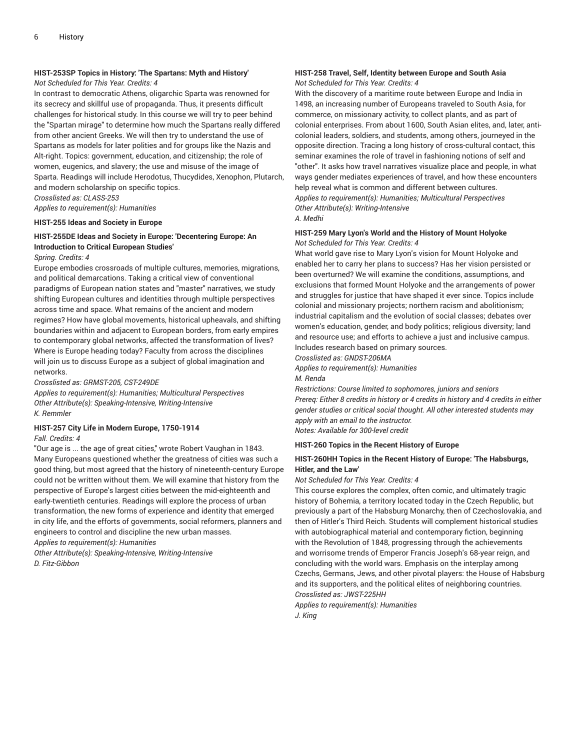### **HIST-253SP Topics in History: 'The Spartans: Myth and History'**

### *Not Scheduled for This Year. Credits: 4*

In contrast to democratic Athens, oligarchic Sparta was renowned for its secrecy and skillful use of propaganda. Thus, it presents difficult challenges for historical study. In this course we will try to peer behind the "Spartan mirage" to determine how much the Spartans really differed from other ancient Greeks. We will then try to understand the use of Spartans as models for later polities and for groups like the Nazis and Alt-right. Topics: government, education, and citizenship; the role of women, eugenics, and slavery; the use and misuse of the image of Sparta. Readings will include Herodotus, Thucydides, Xenophon, Plutarch, and modern scholarship on specific topics. *Crosslisted as: CLASS-253*

*Applies to requirement(s): Humanities*

### **HIST-255 Ideas and Society in Europe**

### **HIST-255DE Ideas and Society in Europe: 'Decentering Europe: An Introduction to Critical European Studies'**

*Spring. Credits: 4*

Europe embodies crossroads of multiple cultures, memories, migrations, and political demarcations. Taking a critical view of conventional paradigms of European nation states and "master" narratives, we study shifting European cultures and identities through multiple perspectives across time and space. What remains of the ancient and modern regimes? How have global movements, historical upheavals, and shifting boundaries within and adjacent to European borders, from early empires to contemporary global networks, affected the transformation of lives? Where is Europe heading today? Faculty from across the disciplines will join us to discuss Europe as a subject of global imagination and networks.

*Crosslisted as: GRMST-205, CST-249DE*

*Applies to requirement(s): Humanities; Multicultural Perspectives Other Attribute(s): Speaking-Intensive, Writing-Intensive K. Remmler*

### **HIST-257 City Life in Modern Europe, 1750-1914**

*Fall. Credits: 4*

"Our age is ... the age of great cities," wrote Robert Vaughan in 1843. Many Europeans questioned whether the greatness of cities was such a good thing, but most agreed that the history of nineteenth-century Europe could not be written without them. We will examine that history from the perspective of Europe's largest cities between the mid-eighteenth and early-twentieth centuries. Readings will explore the process of urban transformation, the new forms of experience and identity that emerged in city life, and the efforts of governments, social reformers, planners and engineers to control and discipline the new urban masses. *Applies to requirement(s): Humanities*

*Other Attribute(s): Speaking-Intensive, Writing-Intensive D. Fitz-Gibbon*

### **HIST-258 Travel, Self, Identity between Europe and South Asia** *Not Scheduled for This Year. Credits: 4*

With the discovery of a maritime route between Europe and India in 1498, an increasing number of Europeans traveled to South Asia, for commerce, on missionary activity, to collect plants, and as part of colonial enterprises. From about 1600, South Asian elites, and, later, anticolonial leaders, soldiers, and students, among others, journeyed in the opposite direction. Tracing a long history of cross-cultural contact, this seminar examines the role of travel in fashioning notions of self and "other". It asks how travel narratives visualize place and people, in what ways gender mediates experiences of travel, and how these encounters help reveal what is common and different between cultures. *Applies to requirement(s): Humanities; Multicultural Perspectives Other Attribute(s): Writing-Intensive*

*A. Medhi*

### **HIST-259 Mary Lyon's World and the History of Mount Holyoke** *Not Scheduled for This Year. Credits: 4*

What world gave rise to Mary Lyon's vision for Mount Holyoke and enabled her to carry her plans to success? Has her vision persisted or been overturned? We will examine the conditions, assumptions, and exclusions that formed Mount Holyoke and the arrangements of power and struggles for justice that have shaped it ever since. Topics include colonial and missionary projects; northern racism and abolitionism; industrial capitalism and the evolution of social classes; debates over women's education, gender, and body politics; religious diversity; land and resource use; and efforts to achieve a just and inclusive campus. Includes research based on primary sources.

*Crosslisted as: GNDST-206MA*

*Applies to requirement(s): Humanities*

*M. Renda*

*Restrictions: Course limited to sophomores, juniors and seniors Prereq: Either 8 credits in history or 4 credits in history and 4 credits in either gender studies or critical social thought. All other interested students may apply with an email to the instructor. Notes: Available for 300-level credit*

**HIST-260 Topics in the Recent History of Europe**

### **HIST-260HH Topics in the Recent History of Europe: 'The Habsburgs, Hitler, and the Law'**

*Not Scheduled for This Year. Credits: 4*

This course explores the complex, often comic, and ultimately tragic history of Bohemia, a territory located today in the Czech Republic, but previously a part of the Habsburg Monarchy, then of Czechoslovakia, and then of Hitler's Third Reich. Students will complement historical studies with autobiographical material and contemporary fiction, beginning with the Revolution of 1848, progressing through the achievements and worrisome trends of Emperor Francis Joseph's 68-year reign, and concluding with the world wars. Emphasis on the interplay among Czechs, Germans, Jews, and other pivotal players: the House of Habsburg and its supporters, and the political elites of neighboring countries. *Crosslisted as: JWST-225HH*

*Applies to requirement(s): Humanities*

*J. King*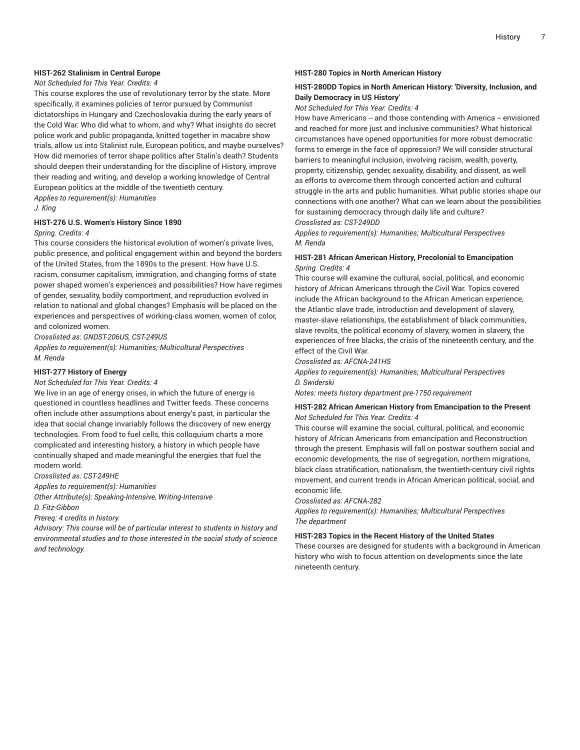### **HIST-262 Stalinism in Central Europe**

### *Not Scheduled for This Year. Credits: 4*

This course explores the use of revolutionary terror by the state. More specifically, it examines policies of terror pursued by Communist dictatorships in Hungary and Czechoslovakia during the early years of the Cold War. Who did what to whom, and why? What insights do secret police work and public propaganda, knitted together in macabre show trials, allow us into Stalinist rule, European politics, and maybe ourselves? How did memories of terror shape politics after Stalin's death? Students should deepen their understanding for the discipline of History, improve their reading and writing, and develop a working knowledge of Central European politics at the middle of the twentieth century. *Applies to requirement(s): Humanities*

#### *J. King*

### **HIST-276 U.S. Women's History Since 1890**

### *Spring. Credits: 4*

This course considers the historical evolution of women's private lives, public presence, and political engagement within and beyond the borders of the United States, from the 1890s to the present. How have U.S. racism, consumer capitalism, immigration, and changing forms of state power shaped women's experiences and possibilities? How have regimes of gender, sexuality, bodily comportment, and reproduction evolved in relation to national and global changes? Emphasis will be placed on the experiences and perspectives of working-class women, women of color, and colonized women.

*Crosslisted as: GNDST-206US, CST-249US*

*Applies to requirement(s): Humanities; Multicultural Perspectives M. Renda*

### **HIST-277 History of Energy**

### *Not Scheduled for This Year. Credits: 4*

We live in an age of energy crises, in which the future of energy is questioned in countless headlines and Twitter feeds. These concerns often include other assumptions about energy's past, in particular the idea that social change invariably follows the discovery of new energy technologies. From food to fuel cells, this colloquium charts a more complicated and interesting history, a history in which people have continually shaped and made meaningful the energies that fuel the modern world.

*Crosslisted as: CST-249HE*

*Applies to requirement(s): Humanities*

*Other Attribute(s): Speaking-Intensive, Writing-Intensive D. Fitz-Gibbon*

#### *Prereq: 4 credits in history.*

*Advisory: This course will be of particular interest to students in history and environmental studies and to those interested in the social study of science and technology.*

#### **HIST-280 Topics in North American History**

### **HIST-280DD Topics in North American History: 'Diversity, Inclusion, and Daily Democracy in US History'**

*Not Scheduled for This Year. Credits: 4*

How have Americans -- and those contending with America -- envisioned and reached for more just and inclusive communities? What historical circumstances have opened opportunities for more robust democratic forms to emerge in the face of oppression? We will consider structural barriers to meaningful inclusion, involving racism, wealth, poverty, property, citizenship, gender, sexuality, disability, and dissent, as well as efforts to overcome them through concerted action and cultural struggle in the arts and public humanities. What public stories shape our connections with one another? What can we learn about the possibilities for sustaining democracy through daily life and culture?

*Crosslisted as: CST-249DD*

*Applies to requirement(s): Humanities; Multicultural Perspectives M. Renda*

### **HIST-281 African American History, Precolonial to Emancipation** *Spring. Credits: 4*

This course will examine the cultural, social, political, and economic history of African Americans through the Civil War. Topics covered include the African background to the African American experience, the Atlantic slave trade, introduction and development of slavery, master-slave relationships, the establishment of black communities, slave revolts, the political economy of slavery, women in slavery, the experiences of free blacks, the crisis of the nineteenth century, and the effect of the Civil War.

*Crosslisted as: AFCNA-241HS*

*Applies to requirement(s): Humanities; Multicultural Perspectives D. Swiderski*

*Notes: meets history department pre-1750 requirement*

### **HIST-282 African American History from Emancipation to the Present** *Not Scheduled for This Year. Credits: 4*

This course will examine the social, cultural, political, and economic history of African Americans from emancipation and Reconstruction through the present. Emphasis will fall on postwar southern social and economic developments, the rise of segregation, northern migrations, black class stratification, nationalism, the twentieth-century civil rights movement, and current trends in African American political, social, and economic life.

*Crosslisted as: AFCNA-282*

*Applies to requirement(s): Humanities; Multicultural Perspectives The department*

### **HIST-283 Topics in the Recent History of the United States**

These courses are designed for students with a background in American history who wish to focus attention on developments since the late nineteenth century.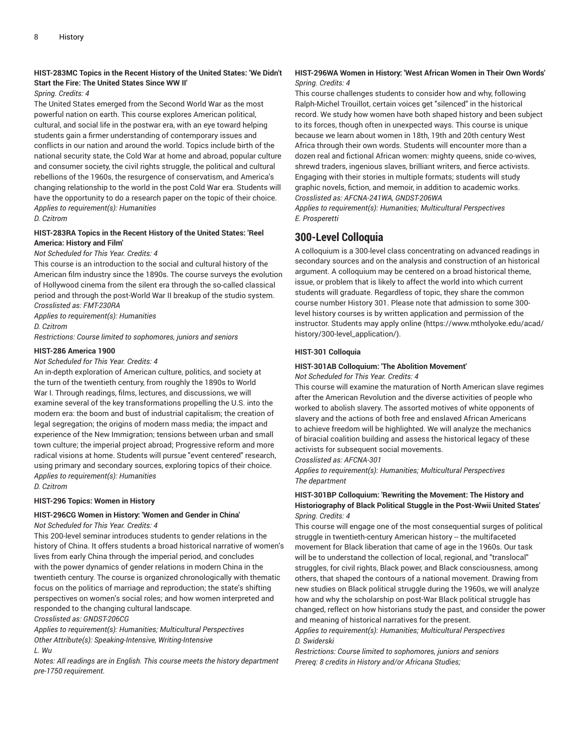### **HIST-283MC Topics in the Recent History of the United States: 'We Didn't Start the Fire: The United States Since WW II'**

### *Spring. Credits: 4*

The United States emerged from the Second World War as the most powerful nation on earth. This course explores American political, cultural, and social life in the postwar era, with an eye toward helping students gain a firmer understanding of contemporary issues and conflicts in our nation and around the world. Topics include birth of the national security state, the Cold War at home and abroad, popular culture and consumer society, the civil rights struggle, the political and cultural rebellions of the 1960s, the resurgence of conservatism, and America's changing relationship to the world in the post Cold War era. Students will have the opportunity to do a research paper on the topic of their choice. *Applies to requirement(s): Humanities*

### *D. Czitrom*

### **HIST-283RA Topics in the Recent History of the United States: 'Reel America: History and Film'**

### *Not Scheduled for This Year. Credits: 4*

This course is an introduction to the social and cultural history of the American film industry since the 1890s. The course surveys the evolution of Hollywood cinema from the silent era through the so-called classical period and through the post-World War II breakup of the studio system. *Crosslisted as: FMT-230RA*

*Applies to requirement(s): Humanities*

*D. Czitrom*

*Restrictions: Course limited to sophomores, juniors and seniors*

### **HIST-286 America 1900**

*Not Scheduled for This Year. Credits: 4*

An in-depth exploration of American culture, politics, and society at the turn of the twentieth century, from roughly the 1890s to World War I. Through readings, films, lectures, and discussions, we will examine several of the key transformations propelling the U.S. into the modern era: the boom and bust of industrial capitalism; the creation of legal segregation; the origins of modern mass media; the impact and experience of the New Immigration; tensions between urban and small town culture; the imperial project abroad; Progressive reform and more radical visions at home. Students will pursue "event centered" research, using primary and secondary sources, exploring topics of their choice. *Applies to requirement(s): Humanities*

*D. Czitrom*

### **HIST-296 Topics: Women in History**

### **HIST-296CG Women in History: 'Women and Gender in China'** *Not Scheduled for This Year. Credits: 4*

This 200-level seminar introduces students to gender relations in the history of China. It offers students a broad historical narrative of women's lives from early China through the imperial period, and concludes with the power dynamics of gender relations in modern China in the twentieth century. The course is organized chronologically with thematic focus on the politics of marriage and reproduction; the state's shifting perspectives on women's social roles; and how women interpreted and responded to the changing cultural landscape.

*Crosslisted as: GNDST-206CG*

*Applies to requirement(s): Humanities; Multicultural Perspectives Other Attribute(s): Speaking-Intensive, Writing-Intensive L. Wu*

*Notes: All readings are in English. This course meets the history department pre-1750 requirement.*

### **HIST-296WA Women in History: 'West African Women in Their Own Words'** *Spring. Credits: 4*

This course challenges students to consider how and why, following Ralph-Michel Trouillot, certain voices get "silenced" in the historical record. We study how women have both shaped history and been subject to its forces, though often in unexpected ways. This course is unique because we learn about women in 18th, 19th and 20th century West Africa through their own words. Students will encounter more than a dozen real and fictional African women: mighty queens, snide co-wives, shrewd traders, ingenious slaves, brilliant writers, and fierce activists. Engaging with their stories in multiple formats; students will study graphic novels, fiction, and memoir, in addition to academic works. *Crosslisted as: AFCNA-241WA, GNDST-206WA*

*Applies to requirement(s): Humanities; Multicultural Perspectives E. Prosperetti*

### **300-Level Colloquia**

A colloquium is a 300-level class concentrating on advanced readings in secondary sources and on the analysis and construction of an historical argument. A colloquium may be centered on a broad historical theme, issue, or problem that is likely to affect the world into which current students will graduate. Regardless of topic, they share the common course number History 301. Please note that admission to some 300 level history courses is by written application and permission of the instructor. Students may [apply online](https://www.mtholyoke.edu/acad/history/300-level_application/) ([https://www.mtholyoke.edu/acad/](https://www.mtholyoke.edu/acad/history/300-level_application/) [history/300-level\\_application/\)](https://www.mtholyoke.edu/acad/history/300-level_application/).

### **HIST-301 Colloquia**

### **HIST-301AB Colloquium: 'The Abolition Movement'**

*Not Scheduled for This Year. Credits: 4*

This course will examine the maturation of North American slave regimes after the American Revolution and the diverse activities of people who worked to abolish slavery. The assorted motives of white opponents of slavery and the actions of both free and enslaved African Americans to achieve freedom will be highlighted. We will analyze the mechanics of biracial coalition building and assess the historical legacy of these activists for subsequent social movements.

*Crosslisted as: AFCNA-301*

*Applies to requirement(s): Humanities; Multicultural Perspectives The department*

### **HIST-301BP Colloquium: 'Rewriting the Movement: The History and Historiography of Black Political Stuggle in the Post-Wwii United States'** *Spring. Credits: 4*

This course will engage one of the most consequential surges of political struggle in twentieth-century American history -- the multifaceted movement for Black liberation that came of age in the 1960s. Our task will be to understand the collection of local, regional, and "translocal" struggles, for civil rights, Black power, and Black consciousness, among others, that shaped the contours of a national movement. Drawing from new studies on Black political struggle during the 1960s, we will analyze how and why the scholarship on post-War Black political struggle has changed, reflect on how historians study the past, and consider the power and meaning of historical narratives for the present.

*Applies to requirement(s): Humanities; Multicultural Perspectives D. Swiderski*

*Restrictions: Course limited to sophomores, juniors and seniors Prereq: 8 credits in History and/or Africana Studies;*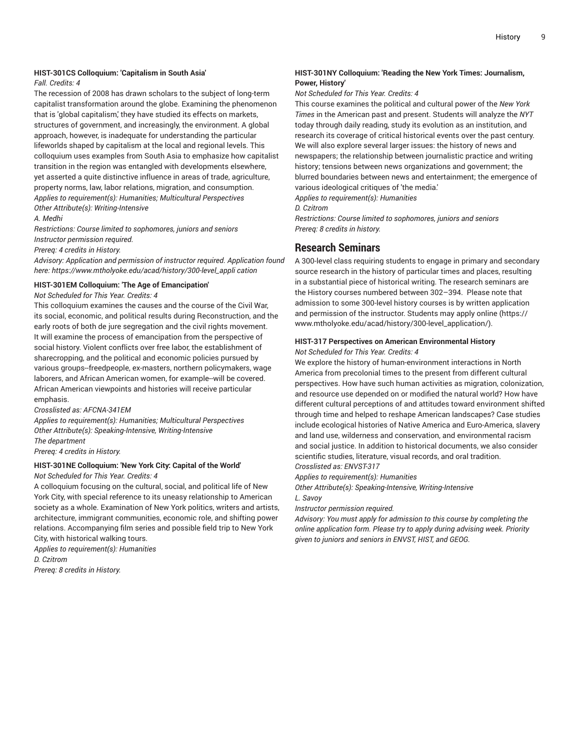### **HIST-301CS Colloquium: 'Capitalism in South Asia'**

### *Fall. Credits: 4*

The recession of 2008 has drawn scholars to the subject of long-term capitalist transformation around the globe. Examining the phenomenon that is 'global capitalism,' they have studied its effects on markets, structures of government, and increasingly, the environment. A global approach, however, is inadequate for understanding the particular lifeworlds shaped by capitalism at the local and regional levels. This colloquium uses examples from South Asia to emphasize how capitalist transition in the region was entangled with developments elsewhere, yet asserted a quite distinctive influence in areas of trade, agriculture, property norms, law, labor relations, migration, and consumption. *Applies to requirement(s): Humanities; Multicultural Perspectives Other Attribute(s): Writing-Intensive*

### *A. Medhi*

*Restrictions: Course limited to sophomores, juniors and seniors Instructor permission required.*

*Prereq: 4 credits in History.*

*Advisory: Application and permission of instructor required. Application found here: https://www.mtholyoke.edu/acad/history/300-level\_appli cation*

### **HIST-301EM Colloquium: 'The Age of Emancipation'**

*Not Scheduled for This Year. Credits: 4*

This colloquium examines the causes and the course of the Civil War, its social, economic, and political results during Reconstruction, and the early roots of both de jure segregation and the civil rights movement. It will examine the process of emancipation from the perspective of social history. Violent conflicts over free labor, the establishment of sharecropping, and the political and economic policies pursued by various groups--freedpeople, ex-masters, northern policymakers, wage laborers, and African American women, for example--will be covered. African American viewpoints and histories will receive particular emphasis.

*Crosslisted as: AFCNA-341EM*

*Applies to requirement(s): Humanities; Multicultural Perspectives Other Attribute(s): Speaking-Intensive, Writing-Intensive The department Prereq: 4 credits in History.*

**HIST-301NE Colloquium: 'New York City: Capital of the World'** *Not Scheduled for This Year. Credits: 4*

A colloquium focusing on the cultural, social, and political life of New York City, with special reference to its uneasy relationship to American society as a whole. Examination of New York politics, writers and artists, architecture, immigrant communities, economic role, and shifting power relations. Accompanying film series and possible field trip to New York City, with historical walking tours.

*Applies to requirement(s): Humanities D. Czitrom Prereq: 8 credits in History.*

### **HIST-301NY Colloquium: 'Reading the New York Times: Journalism, Power, History'**

*Not Scheduled for This Year. Credits: 4*

This course examines the political and cultural power of the *New York Times* in the American past and present. Students will analyze the *NYT* today through daily reading, study its evolution as an institution, and research its coverage of critical historical events over the past century. We will also explore several larger issues: the history of news and newspapers; the relationship between journalistic practice and writing history; tensions between news organizations and government; the blurred boundaries between news and entertainment; the emergence of various ideological critiques of 'the media.' *Applies to requirement(s): Humanities*

*D. Czitrom*

*Restrictions: Course limited to sophomores, juniors and seniors Prereq: 8 credits in history.*

### **Research Seminars**

A 300-level class requiring students to engage in primary and secondary source research in the history of particular times and places, resulting in a substantial piece of historical writing. The research seminars are the History courses numbered between 302–394. Please note that admission to some 300-level history courses is by written application and permission of the instructor. Students may [apply online](https://www.mtholyoke.edu/acad/history/300-level_application/) ([https://](https://www.mtholyoke.edu/acad/history/300-level_application/) [www.mtholyoke.edu/acad/history/300-level\\_application/\)](https://www.mtholyoke.edu/acad/history/300-level_application/).

### **HIST-317 Perspectives on American Environmental History**

*Not Scheduled for This Year. Credits: 4*

We explore the history of human-environment interactions in North America from precolonial times to the present from different cultural perspectives. How have such human activities as migration, colonization, and resource use depended on or modified the natural world? How have different cultural perceptions of and attitudes toward environment shifted through time and helped to reshape American landscapes? Case studies include ecological histories of Native America and Euro-America, slavery and land use, wilderness and conservation, and environmental racism and social justice. In addition to historical documents, we also consider scientific studies, literature, visual records, and oral tradition. *Crosslisted as: ENVST-317*

*Applies to requirement(s): Humanities*

*Other Attribute(s): Speaking-Intensive, Writing-Intensive*

*L. Savoy*

*Instructor permission required.*

*Advisory: You must apply for admission to this course by completing the online application form. Please try to apply during advising week. Priority given to juniors and seniors in ENVST, HIST, and GEOG.*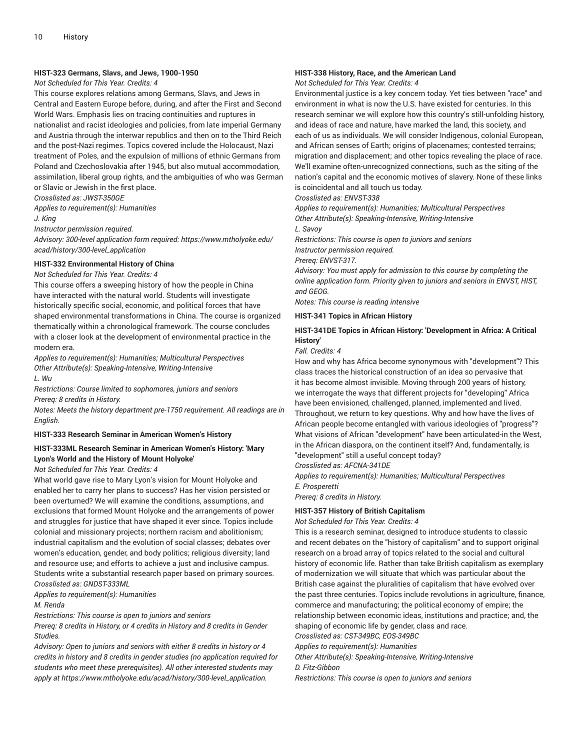### **HIST-323 Germans, Slavs, and Jews, 1900-1950**

### *Not Scheduled for This Year. Credits: 4*

This course explores relations among Germans, Slavs, and Jews in Central and Eastern Europe before, during, and after the First and Second World Wars. Emphasis lies on tracing continuities and ruptures in nationalist and racist ideologies and policies, from late imperial Germany and Austria through the interwar republics and then on to the Third Reich and the post-Nazi regimes. Topics covered include the Holocaust, Nazi treatment of Poles, and the expulsion of millions of ethnic Germans from Poland and Czechoslovakia after 1945, but also mutual accommodation, assimilation, liberal group rights, and the ambiguities of who was German or Slavic or Jewish in the first place.

*Crosslisted as: JWST-350GE*

*Applies to requirement(s): Humanities*

*J. King*

*Instructor permission required.*

*Advisory: 300-level application form required: https://www.mtholyoke.edu/ acad/history/300-level\_application*

### **HIST-332 Environmental History of China**

*Not Scheduled for This Year. Credits: 4*

This course offers a sweeping history of how the people in China have interacted with the natural world. Students will investigate historically specific social, economic, and political forces that have shaped environmental transformations in China. The course is organized thematically within a chronological framework. The course concludes with a closer look at the development of environmental practice in the modern era.

*Applies to requirement(s): Humanities; Multicultural Perspectives Other Attribute(s): Speaking-Intensive, Writing-Intensive L. Wu*

*Restrictions: Course limited to sophomores, juniors and seniors Prereq: 8 credits in History.*

*Notes: Meets the history department pre-1750 requirement. All readings are in English.*

#### **HIST-333 Research Seminar in American Women's History**

### **HIST-333ML Research Seminar in American Women's History: 'Mary Lyon's World and the History of Mount Holyoke'**

*Not Scheduled for This Year. Credits: 4*

What world gave rise to Mary Lyon's vision for Mount Holyoke and enabled her to carry her plans to success? Has her vision persisted or been overturned? We will examine the conditions, assumptions, and exclusions that formed Mount Holyoke and the arrangements of power and struggles for justice that have shaped it ever since. Topics include colonial and missionary projects; northern racism and abolitionism; industrial capitalism and the evolution of social classes; debates over women's education, gender, and body politics; religious diversity; land and resource use; and efforts to achieve a just and inclusive campus. Students write a substantial research paper based on primary sources. *Crosslisted as: GNDST-333ML*

*Applies to requirement(s): Humanities*

### *M. Renda*

*Restrictions: This course is open to juniors and seniors*

*Prereq: 8 credits in History, or 4 credits in History and 8 credits in Gender Studies.*

*Advisory: Open to juniors and seniors with either 8 credits in history or 4 credits in history and 8 credits in gender studies (no application required for students who meet these prerequisites). All other interested students may apply at https://www.mtholyoke.edu/acad/history/300-level\_application.*

### **HIST-338 History, Race, and the American Land**

*Not Scheduled for This Year. Credits: 4*

Environmental justice is a key concern today. Yet ties between "race" and environment in what is now the U.S. have existed for centuries. In this research seminar we will explore how this country's still-unfolding history, and ideas of race and nature, have marked the land, this society, and each of us as individuals. We will consider Indigenous, colonial European, and African senses of Earth; origins of placenames; contested terrains; migration and displacement; and other topics revealing the place of race. We'll examine often-unrecognized connections, such as the siting of the nation's capital and the economic motives of slavery. None of these links is coincidental and all touch us today.

*Crosslisted as: ENVST-338*

*Applies to requirement(s): Humanities; Multicultural Perspectives Other Attribute(s): Speaking-Intensive, Writing-Intensive*

*L. Savoy*

*Restrictions: This course is open to juniors and seniors Instructor permission required.*

*Prereq: ENVST-317.*

*Advisory: You must apply for admission to this course by completing the online application form. Priority given to juniors and seniors in ENVST, HIST, and GEOG.*

*Notes: This course is reading intensive*

### **HIST-341 Topics in African History**

### **HIST-341DE Topics in African History: 'Development in Africa: A Critical History'**

*Fall. Credits: 4*

How and why has Africa become synonymous with "development"? This class traces the historical construction of an idea so pervasive that it has become almost invisible. Moving through 200 years of history, we interrogate the ways that different projects for "developing" Africa have been envisioned, challenged, planned, implemented and lived. Throughout, we return to key questions. Why and how have the lives of African people become entangled with various ideologies of "progress"? What visions of African "development" have been articulated-in the West, in the African diaspora, on the continent itself? And, fundamentally, is "development" still a useful concept today?

*Crosslisted as: AFCNA-341DE*

*Applies to requirement(s): Humanities; Multicultural Perspectives E. Prosperetti*

*Prereq: 8 credits in History.*

#### **HIST-357 History of British Capitalism**

*Not Scheduled for This Year. Credits: 4*

This is a research seminar, designed to introduce students to classic and recent debates on the "history of capitalism" and to support original research on a broad array of topics related to the social and cultural history of economic life. Rather than take British capitalism as exemplary of modernization we will situate that which was particular about the British case against the pluralities of capitalism that have evolved over the past three centuries. Topics include revolutions in agriculture, finance, commerce and manufacturing; the political economy of empire; the relationship between economic ideas, institutions and practice; and, the shaping of economic life by gender, class and race. *Crosslisted as: CST-349BC, EOS-349BC*

*Applies to requirement(s): Humanities*

*Other Attribute(s): Speaking-Intensive, Writing-Intensive*

*D. Fitz-Gibbon*

*Restrictions: This course is open to juniors and seniors*